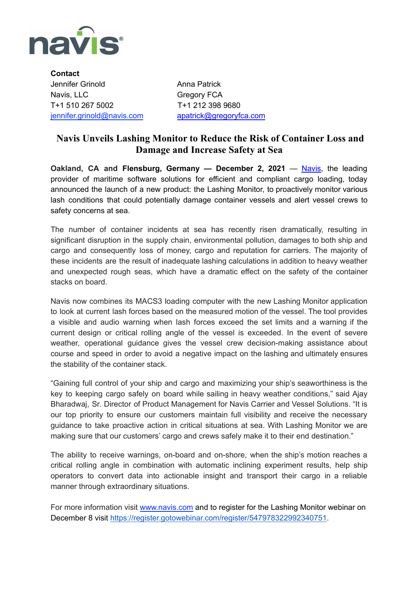

**Contact** Jennifer Grinold **Anna Patrick** Navis, LLC Gregory FCA T+1 510 267 5002 T+1 212 398 9680 [jennifer.grinold@navis.com](mailto:jennifer.grinold@navis.com) [apatrick@gregoryfca.com](mailto:apatrick@gregoryfca.com)

## **Navis Unveils Lashing Monitor to Reduce the Risk of Container Loss and Damage and Increase Safety at Sea**

**Oakland, CA and Flensburg, Germany — December 2, 2021** — [Navis,](http://www.navis.com/) the leading provider of maritime software solutions for efficient and compliant cargo loading, today announced the launch of a new product: the Lashing Monitor, to proactively monitor various lash conditions that could potentially damage container vessels and alert vessel crews to safety concerns at sea.

The number of container incidents at sea has recently risen dramatically, resulting in significant disruption in the supply chain, environmental pollution, damages to both ship and cargo and consequently loss of money, cargo and reputation for carriers. The majority of these incidents are the result of inadequate lashing calculations in addition to heavy weather and unexpected rough seas, which have a dramatic effect on the safety of the container stacks on board.

Navis now combines its MACS3 loading computer with the new Lashing Monitor application to look at current lash forces based on the measured motion of the vessel. The tool provides a visible and audio warning when lash forces exceed the set limits and a warning if the current design or critical rolling angle of the vessel is exceeded. In the event of severe weather, operational guidance gives the vessel crew decision-making assistance about course and speed in order to avoid a negative impact on the lashing and ultimately ensures the stability of the container stack.

"Gaining full control of your ship and cargo and maximizing your ship's seaworthiness is the key to keeping cargo safely on board while sailing in heavy weather conditions," said Ajay Bharadwaj, Sr. Director of Product Management for Navis Carrier and Vessel Solutions. "It is our top priority to ensure our customers maintain full visibility and receive the necessary guidance to take proactive action in critical situations at sea. With Lashing Monitor we are making sure that our customers' cargo and crews safely make it to their end destination."

The ability to receive warnings, on-board and on-shore, when the ship's motion reaches a critical rolling angle in combination with automatic inclining experiment results, help ship operators to convert data into actionable insight and transport their cargo in a reliable manner through extraordinary situations.

For more information visit [www.navis.com](http://www.navis.com) and to register for the Lashing Monitor webinar on December 8 visit [https://register.gotowebinar.com/register/547978322992340751.](https://register.gotowebinar.com/register/547978322992340751?utm_source=pr&utm_medium=webinar&utm_campaign=lashing-monitor)